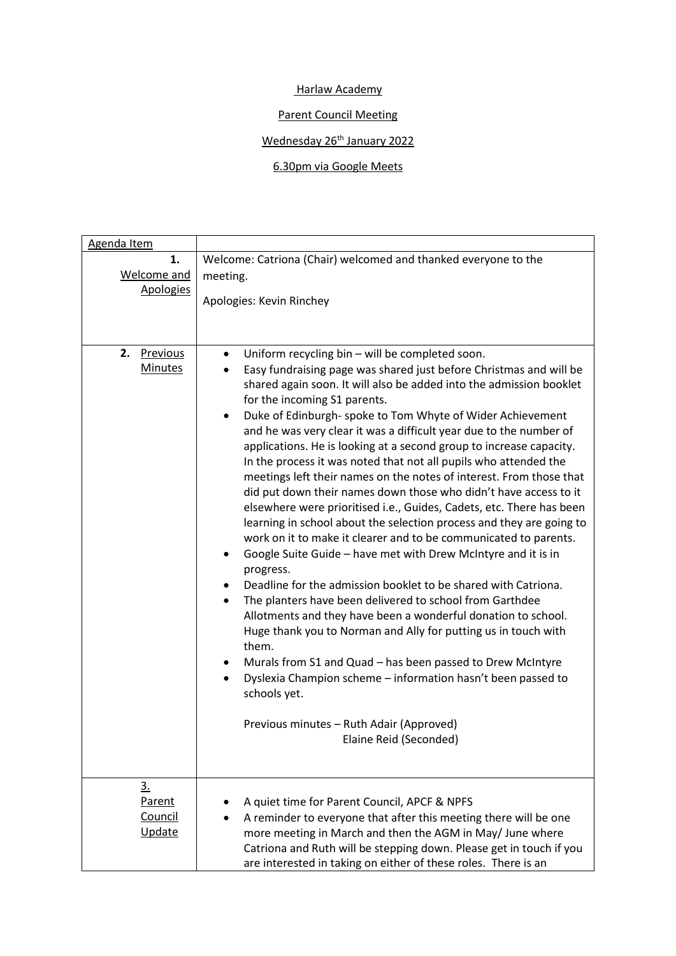## Harlaw Academy

## Parent Council Meeting

## Wednesday 26<sup>th</sup> January 2022

## 6.30pm via Google Meets

| Agenda Item                                  |                                                                                                                                                                                                                                                                                                                                                                                                                                                                                                                                                                                                                                                                                                                                                                                                                                                                                                                                                                                                                                                                                                                                                                                                                                                                                                                                                                                                                                                                                                                      |
|----------------------------------------------|----------------------------------------------------------------------------------------------------------------------------------------------------------------------------------------------------------------------------------------------------------------------------------------------------------------------------------------------------------------------------------------------------------------------------------------------------------------------------------------------------------------------------------------------------------------------------------------------------------------------------------------------------------------------------------------------------------------------------------------------------------------------------------------------------------------------------------------------------------------------------------------------------------------------------------------------------------------------------------------------------------------------------------------------------------------------------------------------------------------------------------------------------------------------------------------------------------------------------------------------------------------------------------------------------------------------------------------------------------------------------------------------------------------------------------------------------------------------------------------------------------------------|
| 1.<br><b>Welcome and</b><br><b>Apologies</b> | Welcome: Catriona (Chair) welcomed and thanked everyone to the<br>meeting.<br>Apologies: Kevin Rinchey                                                                                                                                                                                                                                                                                                                                                                                                                                                                                                                                                                                                                                                                                                                                                                                                                                                                                                                                                                                                                                                                                                                                                                                                                                                                                                                                                                                                               |
| 2.<br>Previous<br><b>Minutes</b>             | Uniform recycling bin - will be completed soon.<br>$\bullet$<br>Easy fundraising page was shared just before Christmas and will be<br>٠<br>shared again soon. It will also be added into the admission booklet<br>for the incoming S1 parents.<br>Duke of Edinburgh- spoke to Tom Whyte of Wider Achievement<br>$\bullet$<br>and he was very clear it was a difficult year due to the number of<br>applications. He is looking at a second group to increase capacity.<br>In the process it was noted that not all pupils who attended the<br>meetings left their names on the notes of interest. From those that<br>did put down their names down those who didn't have access to it<br>elsewhere were prioritised i.e., Guides, Cadets, etc. There has been<br>learning in school about the selection process and they are going to<br>work on it to make it clearer and to be communicated to parents.<br>Google Suite Guide - have met with Drew McIntyre and it is in<br>progress.<br>Deadline for the admission booklet to be shared with Catriona.<br>٠<br>The planters have been delivered to school from Garthdee<br>$\bullet$<br>Allotments and they have been a wonderful donation to school.<br>Huge thank you to Norman and Ally for putting us in touch with<br>them.<br>Murals from S1 and Quad - has been passed to Drew McIntyre<br>Dyslexia Champion scheme - information hasn't been passed to<br>$\bullet$<br>schools yet.<br>Previous minutes - Ruth Adair (Approved)<br>Elaine Reid (Seconded) |
| <u>3.</u><br>Parent<br>Council<br>Update     | A quiet time for Parent Council, APCF & NPFS<br>A reminder to everyone that after this meeting there will be one<br>more meeting in March and then the AGM in May/ June where<br>Catriona and Ruth will be stepping down. Please get in touch if you<br>are interested in taking on either of these roles. There is an                                                                                                                                                                                                                                                                                                                                                                                                                                                                                                                                                                                                                                                                                                                                                                                                                                                                                                                                                                                                                                                                                                                                                                                               |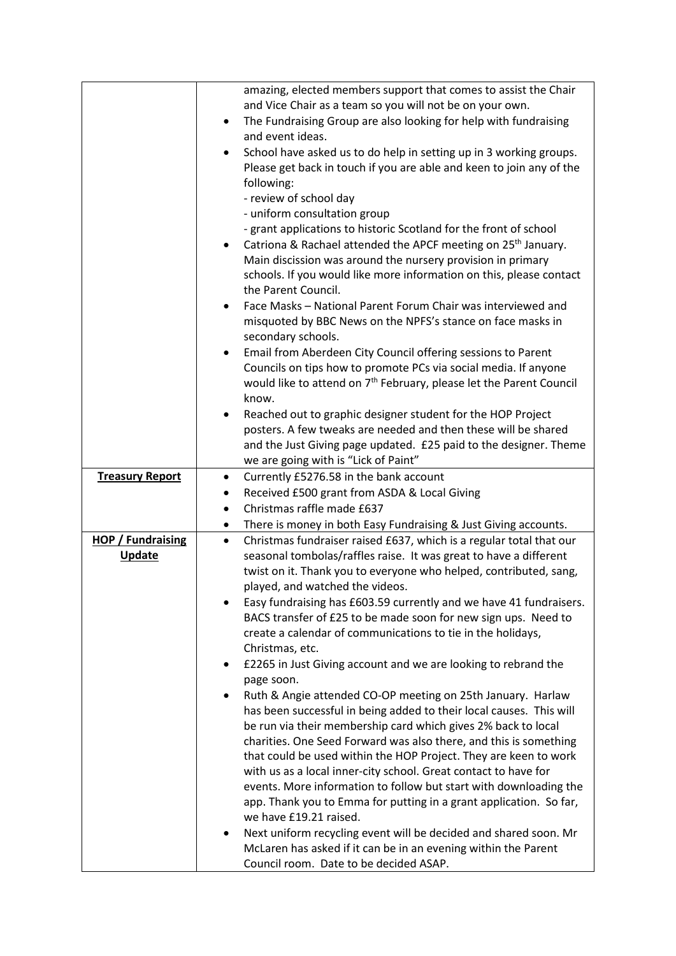|                          | amazing, elected members support that comes to assist the Chair                                                                         |
|--------------------------|-----------------------------------------------------------------------------------------------------------------------------------------|
|                          | and Vice Chair as a team so you will not be on your own.                                                                                |
|                          | The Fundraising Group are also looking for help with fundraising<br>$\bullet$                                                           |
|                          | and event ideas.                                                                                                                        |
|                          | School have asked us to do help in setting up in 3 working groups.<br>$\bullet$                                                         |
|                          | Please get back in touch if you are able and keen to join any of the                                                                    |
|                          | following:                                                                                                                              |
|                          | - review of school day                                                                                                                  |
|                          | - uniform consultation group                                                                                                            |
|                          | - grant applications to historic Scotland for the front of school                                                                       |
|                          | Catriona & Rachael attended the APCF meeting on 25 <sup>th</sup> January.                                                               |
|                          | Main discission was around the nursery provision in primary                                                                             |
|                          | schools. If you would like more information on this, please contact                                                                     |
|                          | the Parent Council.                                                                                                                     |
|                          | Face Masks - National Parent Forum Chair was interviewed and                                                                            |
|                          | misquoted by BBC News on the NPFS's stance on face masks in                                                                             |
|                          | secondary schools.                                                                                                                      |
|                          | Email from Aberdeen City Council offering sessions to Parent<br>٠                                                                       |
|                          | Councils on tips how to promote PCs via social media. If anyone                                                                         |
|                          | would like to attend on 7 <sup>th</sup> February, please let the Parent Council                                                         |
|                          | know.                                                                                                                                   |
|                          | Reached out to graphic designer student for the HOP Project                                                                             |
|                          | posters. A few tweaks are needed and then these will be shared                                                                          |
|                          | and the Just Giving page updated. £25 paid to the designer. Theme                                                                       |
|                          | we are going with is "Lick of Paint"                                                                                                    |
| <b>Treasury Report</b>   | Currently £5276.58 in the bank account<br>$\bullet$                                                                                     |
|                          | Received £500 grant from ASDA & Local Giving<br>٠                                                                                       |
|                          | Christmas raffle made £637<br>$\bullet$                                                                                                 |
|                          | There is money in both Easy Fundraising & Just Giving accounts.<br>٠                                                                    |
| <b>HOP / Fundraising</b> | Christmas fundraiser raised £637, which is a regular total that our<br>$\bullet$                                                        |
| <b>Update</b>            | seasonal tombolas/raffles raise. It was great to have a different                                                                       |
|                          | twist on it. Thank you to everyone who helped, contributed, sang,                                                                       |
|                          | played, and watched the videos.                                                                                                         |
|                          | Easy fundraising has £603.59 currently and we have 41 fundraisers.                                                                      |
|                          | BACS transfer of £25 to be made soon for new sign ups. Need to                                                                          |
|                          | create a calendar of communications to tie in the holidays,                                                                             |
|                          | Christmas, etc.                                                                                                                         |
|                          | £2265 in Just Giving account and we are looking to rebrand the<br>٠                                                                     |
|                          | page soon.                                                                                                                              |
|                          | Ruth & Angie attended CO-OP meeting on 25th January. Harlaw<br>$\bullet$                                                                |
|                          | has been successful in being added to their local causes. This will                                                                     |
|                          | be run via their membership card which gives 2% back to local                                                                           |
|                          | charities. One Seed Forward was also there, and this is something                                                                       |
|                          | that could be used within the HOP Project. They are keen to work                                                                        |
|                          | with us as a local inner-city school. Great contact to have for                                                                         |
|                          | events. More information to follow but start with downloading the<br>app. Thank you to Emma for putting in a grant application. So far, |
|                          | we have £19.21 raised.                                                                                                                  |
|                          | Next uniform recycling event will be decided and shared soon. Mr<br>٠                                                                   |
|                          | McLaren has asked if it can be in an evening within the Parent                                                                          |
|                          | Council room. Date to be decided ASAP.                                                                                                  |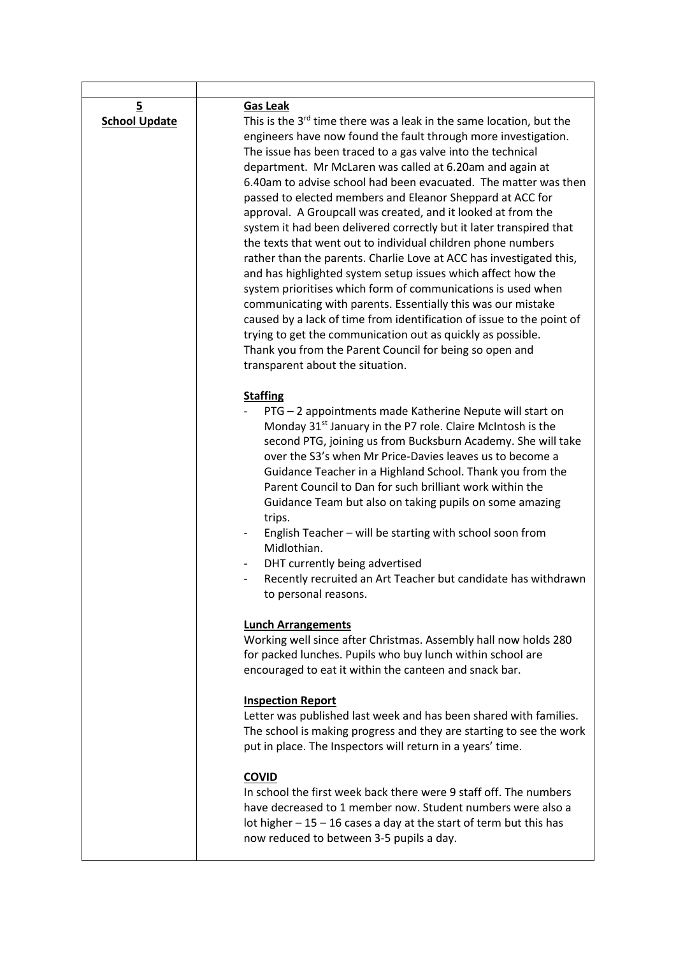| $\overline{5}$<br><b>School Update</b> | <b>Gas Leak</b><br>This is the 3rd time there was a leak in the same location, but the<br>engineers have now found the fault through more investigation.<br>The issue has been traced to a gas valve into the technical<br>department. Mr McLaren was called at 6.20am and again at<br>6.40am to advise school had been evacuated. The matter was then<br>passed to elected members and Eleanor Sheppard at ACC for<br>approval. A Groupcall was created, and it looked at from the<br>system it had been delivered correctly but it later transpired that<br>the texts that went out to individual children phone numbers<br>rather than the parents. Charlie Love at ACC has investigated this,<br>and has highlighted system setup issues which affect how the<br>system prioritises which form of communications is used when<br>communicating with parents. Essentially this was our mistake<br>caused by a lack of time from identification of issue to the point of<br>trying to get the communication out as quickly as possible.<br>Thank you from the Parent Council for being so open and<br>transparent about the situation. |
|----------------------------------------|------------------------------------------------------------------------------------------------------------------------------------------------------------------------------------------------------------------------------------------------------------------------------------------------------------------------------------------------------------------------------------------------------------------------------------------------------------------------------------------------------------------------------------------------------------------------------------------------------------------------------------------------------------------------------------------------------------------------------------------------------------------------------------------------------------------------------------------------------------------------------------------------------------------------------------------------------------------------------------------------------------------------------------------------------------------------------------------------------------------------------------------|
|                                        | <b>Staffing</b><br>PTG - 2 appointments made Katherine Nepute will start on<br>Monday 31 <sup>st</sup> January in the P7 role. Claire McIntosh is the<br>second PTG, joining us from Bucksburn Academy. She will take<br>over the S3's when Mr Price-Davies leaves us to become a<br>Guidance Teacher in a Highland School. Thank you from the<br>Parent Council to Dan for such brilliant work within the<br>Guidance Team but also on taking pupils on some amazing<br>trips.<br>English Teacher - will be starting with school soon from<br>Midlothian.<br>DHT currently being advertised<br>Recently recruited an Art Teacher but candidate has withdrawn<br>to personal reasons.                                                                                                                                                                                                                                                                                                                                                                                                                                                    |
|                                        | <b>Lunch Arrangements</b><br>Working well since after Christmas. Assembly hall now holds 280<br>for packed lunches. Pupils who buy lunch within school are<br>encouraged to eat it within the canteen and snack bar.                                                                                                                                                                                                                                                                                                                                                                                                                                                                                                                                                                                                                                                                                                                                                                                                                                                                                                                     |
|                                        | <b>Inspection Report</b><br>Letter was published last week and has been shared with families.<br>The school is making progress and they are starting to see the work<br>put in place. The Inspectors will return in a years' time.                                                                                                                                                                                                                                                                                                                                                                                                                                                                                                                                                                                                                                                                                                                                                                                                                                                                                                       |
|                                        | <b>COVID</b><br>In school the first week back there were 9 staff off. The numbers<br>have decreased to 1 member now. Student numbers were also a<br>lot higher $-15 - 16$ cases a day at the start of term but this has<br>now reduced to between 3-5 pupils a day.                                                                                                                                                                                                                                                                                                                                                                                                                                                                                                                                                                                                                                                                                                                                                                                                                                                                      |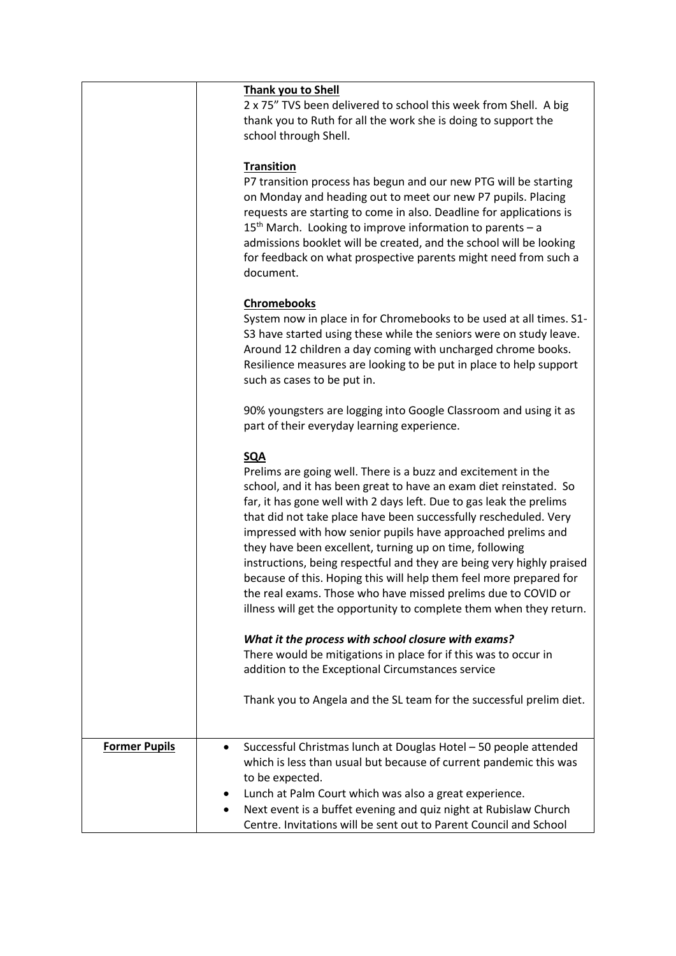|                      | <b>Thank you to Shell</b><br>2 x 75" TVS been delivered to school this week from Shell. A big<br>thank you to Ruth for all the work she is doing to support the<br>school through Shell.                                                                                                                                                                                                                                                                                                                                                                                                                                                                                                                      |
|----------------------|---------------------------------------------------------------------------------------------------------------------------------------------------------------------------------------------------------------------------------------------------------------------------------------------------------------------------------------------------------------------------------------------------------------------------------------------------------------------------------------------------------------------------------------------------------------------------------------------------------------------------------------------------------------------------------------------------------------|
|                      | <b>Transition</b><br>P7 transition process has begun and our new PTG will be starting<br>on Monday and heading out to meet our new P7 pupils. Placing<br>requests are starting to come in also. Deadline for applications is<br>15 <sup>th</sup> March. Looking to improve information to parents - a<br>admissions booklet will be created, and the school will be looking<br>for feedback on what prospective parents might need from such a<br>document.                                                                                                                                                                                                                                                   |
|                      | <b>Chromebooks</b><br>System now in place in for Chromebooks to be used at all times. S1-<br>S3 have started using these while the seniors were on study leave.<br>Around 12 children a day coming with uncharged chrome books.<br>Resilience measures are looking to be put in place to help support<br>such as cases to be put in.                                                                                                                                                                                                                                                                                                                                                                          |
|                      | 90% youngsters are logging into Google Classroom and using it as<br>part of their everyday learning experience.                                                                                                                                                                                                                                                                                                                                                                                                                                                                                                                                                                                               |
|                      | <b>SQA</b><br>Prelims are going well. There is a buzz and excitement in the<br>school, and it has been great to have an exam diet reinstated. So<br>far, it has gone well with 2 days left. Due to gas leak the prelims<br>that did not take place have been successfully rescheduled. Very<br>impressed with how senior pupils have approached prelims and<br>they have been excellent, turning up on time, following<br>instructions, being respectful and they are being very highly praised<br>because of this. Hoping this will help them feel more prepared for<br>the real exams. Those who have missed prelims due to COVID or<br>illness will get the opportunity to complete them when they return. |
|                      | What it the process with school closure with exams?<br>There would be mitigations in place for if this was to occur in<br>addition to the Exceptional Circumstances service                                                                                                                                                                                                                                                                                                                                                                                                                                                                                                                                   |
|                      | Thank you to Angela and the SL team for the successful prelim diet.                                                                                                                                                                                                                                                                                                                                                                                                                                                                                                                                                                                                                                           |
| <b>Former Pupils</b> | Successful Christmas lunch at Douglas Hotel - 50 people attended<br>which is less than usual but because of current pandemic this was<br>to be expected.<br>Lunch at Palm Court which was also a great experience.                                                                                                                                                                                                                                                                                                                                                                                                                                                                                            |
|                      | Next event is a buffet evening and quiz night at Rubislaw Church<br>$\bullet$<br>Centre. Invitations will be sent out to Parent Council and School                                                                                                                                                                                                                                                                                                                                                                                                                                                                                                                                                            |